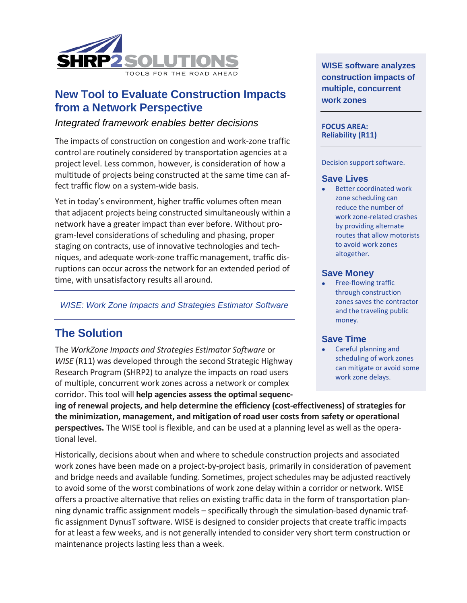

## **New Tool to Evaluate Construction Impacts from a Network Perspective**

## *Integrated framework enables better decisions*

The impacts of construction on congestion and work-zone traffic control are routinely considered by transportation agencies at a project level. Less common, however, is consideration of how a multitude of projects being constructed at the same time can affect traffic flow on a system-wide basis.

Yet in today's environment, higher traffic volumes often mean that adjacent projects being constructed simultaneously within a network have a greater impact than ever before. Without program-level considerations of scheduling and phasing, proper staging on contracts, use of innovative technologies and techniques, and adequate work-zone traffic management, traffic disruptions can occur across the network for an extended period of time, with unsatisfactory results all around.

*WISE: Work Zone Impacts and Strategies Estimator Software*

# **The Solution**

The *WorkZone Impacts and Strategies Estimator Software* or *WISE* (R11) was developed through the second Strategic Highway Research Program (SHRP2) to analyze the impacts on road users of multiple, concurrent work zones across a network or complex corridor. This tool will **help agencies assess the optimal sequenc-**

**WISE software analyzes construction impacts of multiple, concurrent work zones**

#### **FOCUS AREA: Reliability (R11)**

#### Decision support software.

#### **Save Lives**

Better coordinated work zone scheduling can reduce the number of work zone-related crashes by providing alternate routes that allow motorists to avoid work zones altogether.

### **Save Money**

Free-flowing traffic through construction zones saves the contractor and the traveling public money.

#### **Save Time**

• Careful planning and scheduling of work zones can mitigate or avoid some work zone delays.

**ing of renewal projects, and help determine the efficiency (cost-effectiveness) of strategies for the minimization, management, and mitigation of road user costs from safety or operational perspectives.** The WISE tool is flexible, and can be used at a planning level as well as the operational level.

Historically, decisions about when and where to schedule construction projects and associated work zones have been made on a project-by-project basis, primarily in consideration of pavement and bridge needs and available funding. Sometimes, project schedules may be adjusted reactively to avoid some of the worst combinations of work zone delay within a corridor or network. WISE offers a proactive alternative that relies on existing traffic data in the form of transportation planning dynamic traffic assignment models – specifically through the simulation-based dynamic traffic assignment DynusT software. WISE is designed to consider projects that create traffic impacts for at least a few weeks, and is not generally intended to consider very short term construction or maintenance projects lasting less than a week.